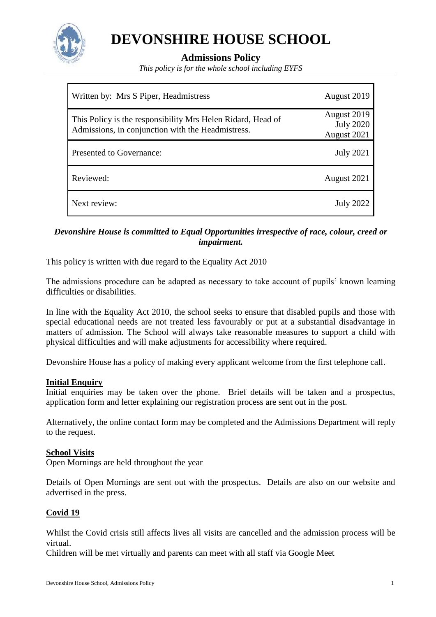

# **DEVONSHIRE HOUSE SCHOOL**

**Admissions Policy**

*This policy is for the whole school including EYFS*

| Written by: Mrs S Piper, Headmistress                                                                            | August 2019                                    |
|------------------------------------------------------------------------------------------------------------------|------------------------------------------------|
| This Policy is the responsibility Mrs Helen Ridard, Head of<br>Admissions, in conjunction with the Headmistress. | August 2019<br><b>July 2020</b><br>August 2021 |
| <b>Presented to Governance:</b>                                                                                  | <b>July 2021</b>                               |
| Reviewed:                                                                                                        | August 2021                                    |
| Next review:                                                                                                     | <b>July 2022</b>                               |

## *Devonshire House is committed to Equal Opportunities irrespective of race, colour, creed or impairment.*

This policy is written with due regard to the Equality Act 2010

The admissions procedure can be adapted as necessary to take account of pupils' known learning difficulties or disabilities.

In line with the Equality Act 2010, the school seeks to ensure that disabled pupils and those with special educational needs are not treated less favourably or put at a substantial disadvantage in matters of admission. The School will always take reasonable measures to support a child with physical difficulties and will make adjustments for accessibility where required.

Devonshire House has a policy of making every applicant welcome from the first telephone call.

#### **Initial Enquiry**

Initial enquiries may be taken over the phone. Brief details will be taken and a prospectus, application form and letter explaining our registration process are sent out in the post.

Alternatively, the online contact form may be completed and the Admissions Department will reply to the request.

## **School Visits**

Open Mornings are held throughout the year

Details of Open Mornings are sent out with the prospectus. Details are also on our website and advertised in the press.

#### **Covid 19**

Whilst the Covid crisis still affects lives all visits are cancelled and the admission process will be virtual.

Children will be met virtually and parents can meet with all staff via Google Meet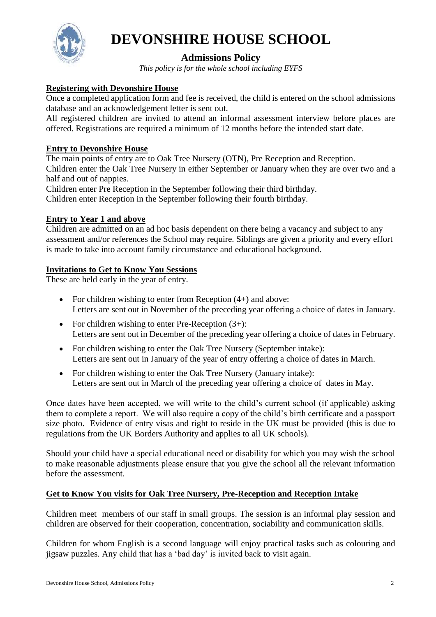

# **DEVONSHIRE HOUSE SCHOOL**

## **Admissions Policy**

*This policy is for the whole school including EYFS*

## **Registering with Devonshire House**

Once a completed application form and fee is received, the child is entered on the school admissions database and an acknowledgement letter is sent out.

All registered children are invited to attend an informal assessment interview before places are offered. Registrations are required a minimum of 12 months before the intended start date.

## **Entry to Devonshire House**

The main points of entry are to Oak Tree Nursery (OTN), Pre Reception and Reception. Children enter the Oak Tree Nursery in either September or January when they are over two and a half and out of nappies.

Children enter Pre Reception in the September following their third birthday.

Children enter Reception in the September following their fourth birthday.

## **Entry to Year 1 and above**

Children are admitted on an ad hoc basis dependent on there being a vacancy and subject to any assessment and/or references the School may require. Siblings are given a priority and every effort is made to take into account family circumstance and educational background.

## **Invitations to Get to Know You Sessions**

These are held early in the year of entry.

- For children wishing to enter from Reception  $(4+)$  and above: Letters are sent out in November of the preceding year offering a choice of dates in January.
- For children wishing to enter Pre-Reception  $(3+)$ : Letters are sent out in December of the preceding year offering a choice of dates in February.
- For children wishing to enter the Oak Tree Nursery (September intake): Letters are sent out in January of the year of entry offering a choice of dates in March.
- For children wishing to enter the Oak Tree Nursery (January intake): Letters are sent out in March of the preceding year offering a choice of dates in May.

Once dates have been accepted, we will write to the child's current school (if applicable) asking them to complete a report. We will also require a copy of the child's birth certificate and a passport size photo. Evidence of entry visas and right to reside in the UK must be provided (this is due to regulations from the UK Borders Authority and applies to all UK schools).

Should your child have a special educational need or disability for which you may wish the school to make reasonable adjustments please ensure that you give the school all the relevant information before the assessment.

## **Get to Know You visits for Oak Tree Nursery, Pre-Reception and Reception Intake**

Children meet members of our staff in small groups. The session is an informal play session and children are observed for their cooperation, concentration, sociability and communication skills.

Children for whom English is a second language will enjoy practical tasks such as colouring and jigsaw puzzles. Any child that has a 'bad day' is invited back to visit again.